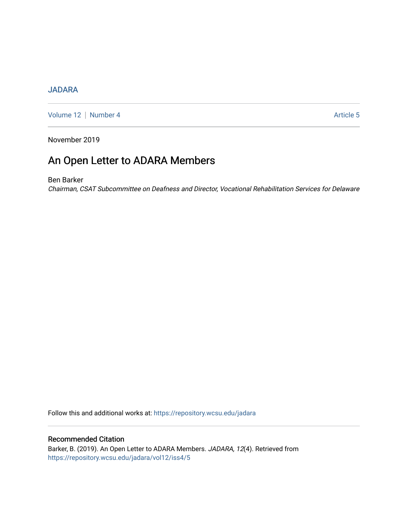## [JADARA](https://repository.wcsu.edu/jadara)

[Volume 12](https://repository.wcsu.edu/jadara/vol12) | [Number 4](https://repository.wcsu.edu/jadara/vol12/iss4) Article 5

November 2019

# An Open Letter to ADARA Members

Ben Barker

Chairman, CSAT Subcommittee on Deafness and Director, Vocational Rehabilitation Services for Delaware

Follow this and additional works at: [https://repository.wcsu.edu/jadara](https://repository.wcsu.edu/jadara?utm_source=repository.wcsu.edu%2Fjadara%2Fvol12%2Fiss4%2F5&utm_medium=PDF&utm_campaign=PDFCoverPages)

### Recommended Citation

Barker, B. (2019). An Open Letter to ADARA Members. JADARA, 12(4). Retrieved from [https://repository.wcsu.edu/jadara/vol12/iss4/5](https://repository.wcsu.edu/jadara/vol12/iss4/5?utm_source=repository.wcsu.edu%2Fjadara%2Fvol12%2Fiss4%2F5&utm_medium=PDF&utm_campaign=PDFCoverPages)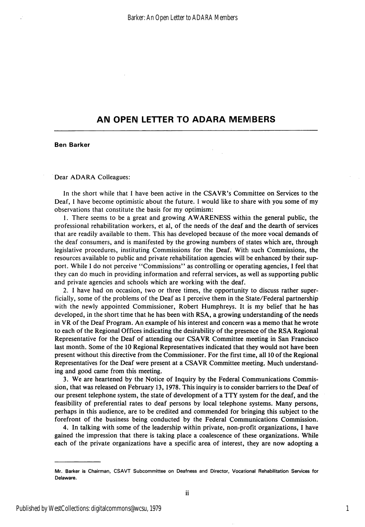### AN OPEN LETTER TO ADARA MEMBERS

#### Ben Barker

#### Dear ADARA Golleagues:

In the short while that 1 have been active in the CSAVR's Committee on Services to the Deaf, I have become optimistic about the future. I would like to share with you some of my observations that constitute the basis for my optimism:

1. There seems to be a great and growing AWARENESS withip the general public, the professional rehabilitation workers, et al, of the needs of the deaf and the dearth of services that are readily available to them. This has developed because of the more vocal demands of the deaf consumers, and is manifested by the growing numbers of sltates which are, through legislative procedures, instituting Commissions for the Deaf. With such Commissions, the resources available to public and private rehabilitation agencies will be enhanced by their sup port. While I do not perceive \*'Commissions'' as controlling or operating agencies, I feel that they can do much in providing information and referral services, as well as supporting public and private agencies and schools which are working with the deaf.

2. I have had on occasion, two or three times, the opportunity to discuss rather super ficially, some of the problems of the Deaf as I perceive them in the State/Federal partnership with the newly appointed Commissioner, Robert Humphreys. It is my belief that he has developed, in the short time that he has been with RSA, a growing understanding of the needs in VR of the Deaf Program. An example of his interest and concern was a memo that he wrote to each of the Regional Offices indicating the desirability of the presence of the RSA Regional Representative for the Deaf of attending our CSAVR Committee meeting in San Francisco last month. Some of the 10 Regional Representatives indicated that they would not have been present without this directive from the Commissioner. For the first time, all 10 of the Regional Representatives for the Deaf were present at a CSAVR Committee meeting. Much understand ing and good came from this meeting.

3. We are heartened by the Notice of Inquiry by the Federal Communications Commis sion, that was released on February 13, 1978. This inquiry is to consider barriers to the Deaf of our present telephone system, the state of development of a TTY system for the deaf, and the feasibility of preferential rates to deaf persons by local telephone systems. Many persons, perhaps in this audience, are to be credited and commended for bringing this subject to the forefront of the business being conducted by the Federal Communications Commission.

4. In talking with some of the leadership within private, non-profit organizations, 1 have gained the impression that there is taking place a coalescence of these organizations. While each of the private organizations have a specific area of interest, they are now adopting a

Mr. Barker is Chairman, CSAVT Subcommittee on Deafness and Director, Vocational Rehabilitation Services for Delaware.